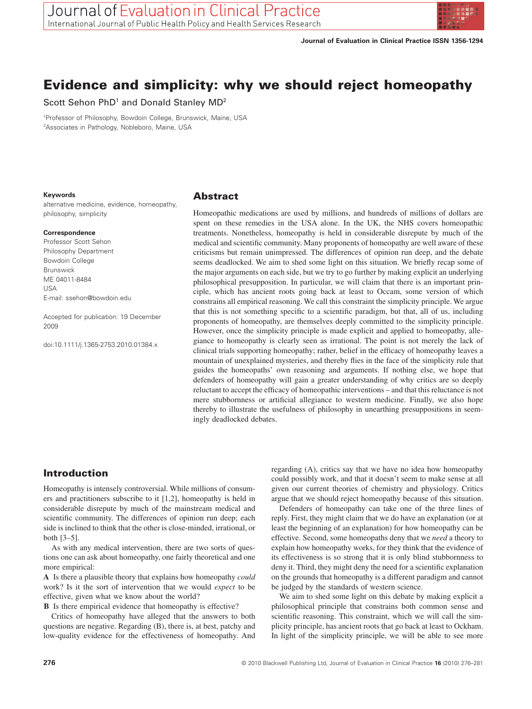

# Evidence and simplicity: why we should reject homeopathy

Scott Sehon PhD<sup>1</sup> and Donald Stanley MD<sup>2</sup>

1 Professor of Philosophy, Bowdoin College, Brunswick, Maine, USA 2 Associates in Pathology, Nobleboro, Maine, USA

#### **Keywords**

alternative medicine, evidence, homeopathy, philosophy, simplicity

#### **Correspondence**

Professor Scott Sehon Philosophy Department Bowdoin College Brunswick ME 04011-8484 USA E-mail: ssehon@bowdoin.edu

Accepted for publication: 19 December 2009

doi:10.1111/j.1365-2753.2010.01384.x

#### **Abstract**

Homeopathic medications are used by millions, and hundreds of millions of dollars are spent on these remedies in the USA alone. In the UK, the NHS covers homeopathic treatments. Nonetheless, homeopathy is held in considerable disrepute by much of the medical and scientific community. Many proponents of homeopathy are well aware of these criticisms but remain unimpressed. The differences of opinion run deep, and the debate seems deadlocked. We aim to shed some light on this situation. We briefly recap some of the major arguments on each side, but we try to go further by making explicit an underlying philosophical presupposition. In particular, we will claim that there is an important principle, which has ancient roots going back at least to Occam, some version of which constrains all empirical reasoning. We call this constraint the simplicity principle. We argue that this is not something specific to a scientific paradigm, but that, all of us, including proponents of homeopathy, are themselves deeply committed to the simplicity principle. However, once the simplicity principle is made explicit and applied to homeopathy, allegiance to homeopathy is clearly seen as irrational. The point is not merely the lack of clinical trials supporting homeopathy; rather, belief in the efficacy of homeopathy leaves a mountain of unexplained mysteries, and thereby flies in the face of the simplicity rule that guides the homeopaths' own reasoning and arguments. If nothing else, we hope that defenders of homeopathy will gain a greater understanding of why critics are so deeply reluctant to accept the efficacy of homeopathic interventions – and that this reluctance is not mere stubbornness or artificial allegiance to western medicine. Finally, we also hope thereby to illustrate the usefulness of philosophy in unearthing presuppositions in seemingly deadlocked debates.

#### **Introduction**

Homeopathy is intensely controversial. While millions of consumers and practitioners subscribe to it [1,2], homeopathy is held in considerable disrepute by much of the mainstream medical and scientific community. The differences of opinion run deep; each side is inclined to think that the other is close-minded, irrational, or both [3–5].

As with any medical intervention, there are two sorts of questions one can ask about homeopathy, one fairly theoretical and one more empirical:

**A** Is there a plausible theory that explains how homeopathy *could* work? Is it the sort of intervention that we would *expect* to be effective, given what we know about the world?

**B** Is there empirical evidence that homeopathy is effective?

Critics of homeopathy have alleged that the answers to both questions are negative. Regarding (B), there is, at best, patchy and low-quality evidence for the effectiveness of homeopathy. And

regarding (A), critics say that we have no idea how homeopathy could possibly work, and that it doesn't seem to make sense at all given our current theories of chemistry and physiology. Critics argue that we should reject homeopathy because of this situation.

Defenders of homeopathy can take one of the three lines of reply. First, they might claim that we do have an explanation (or at least the beginning of an explanation) for how homeopathy can be effective. Second, some homeopaths deny that we *need* a theory to explain how homeopathy works, for they think that the evidence of its effectiveness is so strong that it is only blind stubbornness to deny it. Third, they might deny the need for a scientific explanation on the grounds that homeopathy is a different paradigm and cannot be judged by the standards of western science.

We aim to shed some light on this debate by making explicit a philosophical principle that constrains both common sense and scientific reasoning. This constraint, which we will call the simplicity principle, has ancient roots that go back at least to Ockham. In light of the simplicity principle, we will be able to see more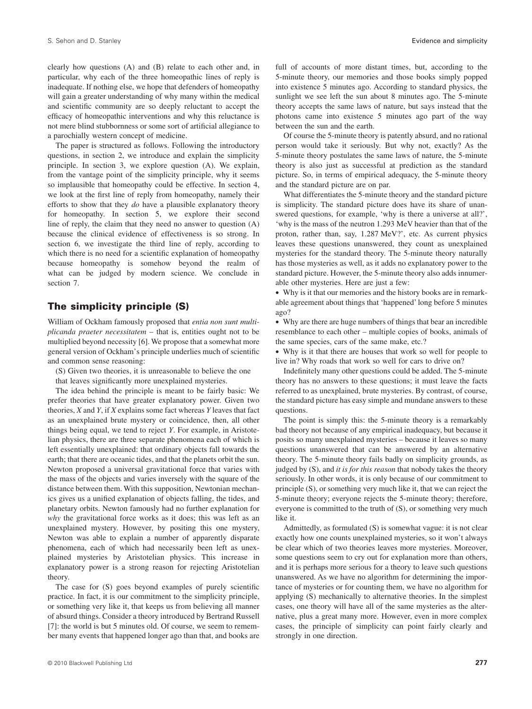clearly how questions (A) and (B) relate to each other and, in particular, why each of the three homeopathic lines of reply is inadequate. If nothing else, we hope that defenders of homeopathy will gain a greater understanding of why many within the medical and scientific community are so deeply reluctant to accept the efficacy of homeopathic interventions and why this reluctance is not mere blind stubbornness or some sort of artificial allegiance to a parochially western concept of medicine.

The paper is structured as follows. Following the introductory questions, in section 2, we introduce and explain the simplicity principle. In section 3, we explore question (A). We explain, from the vantage point of the simplicity principle, why it seems so implausible that homeopathy could be effective. In section 4, we look at the first line of reply from homeopathy, namely their efforts to show that they *do* have a plausible explanatory theory for homeopathy. In section 5, we explore their second line of reply, the claim that they need no answer to question (A) because the clinical evidence of effectiveness is so strong. In section 6, we investigate the third line of reply, according to which there is no need for a scientific explanation of homeopathy because homeopathy is somehow beyond the realm of what can be judged by modern science. We conclude in section 7.

# **The simplicity principle (S)**

William of Ockham famously proposed that *entia non sunt multiplicanda praeter necessitatem* – that is, entities ought not to be multiplied beyond necessity [6]. We propose that a somewhat more general version of Ockham's principle underlies much of scientific and common sense reasoning:

- (S) Given two theories, it is unreasonable to believe the one
- that leaves significantly more unexplained mysteries.

The idea behind the principle is meant to be fairly basic: We prefer theories that have greater explanatory power. Given two theories, *X* and *Y*, if *X* explains some fact whereas *Y* leaves that fact as an unexplained brute mystery or coincidence, then, all other things being equal, we tend to reject *Y*. For example, in Aristotelian physics, there are three separate phenomena each of which is left essentially unexplained: that ordinary objects fall towards the earth; that there are oceanic tides, and that the planets orbit the sun. Newton proposed a universal gravitational force that varies with the mass of the objects and varies inversely with the square of the distance between them. With this supposition, Newtonian mechanics gives us a unified explanation of objects falling, the tides, and planetary orbits. Newton famously had no further explanation for *why* the gravitational force works as it does; this was left as an unexplained mystery. However, by positing this one mystery, Newton was able to explain a number of apparently disparate phenomena, each of which had necessarily been left as unexplained mysteries by Aristotelian physics. This increase in explanatory power is a strong reason for rejecting Aristotelian theory.

The case for (S) goes beyond examples of purely scientific practice. In fact, it is our commitment to the simplicity principle, or something very like it, that keeps us from believing all manner of absurd things. Consider a theory introduced by Bertrand Russell [7]: the world is but 5 minutes old. Of course, we seem to remember many events that happened longer ago than that, and books are full of accounts of more distant times, but, according to the 5-minute theory, our memories and those books simply popped into existence 5 minutes ago. According to standard physics, the sunlight we see left the sun about 8 minutes ago. The 5-minute theory accepts the same laws of nature, but says instead that the photons came into existence 5 minutes ago part of the way between the sun and the earth.

Of course the 5-minute theory is patently absurd, and no rational person would take it seriously. But why not, exactly? As the 5-minute theory postulates the same laws of nature, the 5-minute theory is also just as successful at prediction as the standard picture. So, in terms of empirical adequacy, the 5-minute theory and the standard picture are on par.

What differentiates the 5-minute theory and the standard picture is simplicity. The standard picture does have its share of unanswered questions, for example, 'why is there a universe at all?', 'why is the mass of the neutron 1.293 MeV heavier than that of the proton, rather than, say, 1.287 MeV?', etc. As current physics leaves these questions unanswered, they count as unexplained mysteries for the standard theory. The 5-minute theory naturally has those mysteries as well, as it adds no explanatory power to the standard picture. However, the 5-minute theory also adds innumerable other mysteries. Here are just a few:

• Why is it that our memories and the history books are in remarkable agreement about things that 'happened' long before 5 minutes ago?

• Why are there are huge numbers of things that bear an incredible resemblance to each other – multiple copies of books, animals of the same species, cars of the same make, etc.?

• Why is it that there are houses that work so well for people to live in? Why roads that work so well for cars to drive on?

Indefinitely many other questions could be added. The 5-minute theory has no answers to these questions; it must leave the facts referred to as unexplained, brute mysteries. By contrast, of course, the standard picture has easy simple and mundane answers to these questions.

The point is simply this: the 5-minute theory is a remarkably bad theory not because of any empirical inadequacy, but because it posits so many unexplained mysteries – because it leaves so many questions unanswered that can be answered by an alternative theory. The 5-minute theory fails badly on simplicity grounds, as judged by (S), and *it is for this reason* that nobody takes the theory seriously. In other words, it is only because of our commitment to principle (S), or something very much like it, that we can reject the 5-minute theory; everyone rejects the 5-minute theory; therefore, everyone is committed to the truth of (S), or something very much like it.

Admittedly, as formulated (S) is somewhat vague: it is not clear exactly how one counts unexplained mysteries, so it won't always be clear which of two theories leaves more mysteries. Moreover, some questions seem to cry out for explanation more than others, and it is perhaps more serious for a theory to leave such questions unanswered. As we have no algorithm for determining the importance of mysteries or for counting them, we have no algorithm for applying (S) mechanically to alternative theories. In the simplest cases, one theory will have all of the same mysteries as the alternative, plus a great many more. However, even in more complex cases, the principle of simplicity can point fairly clearly and strongly in one direction.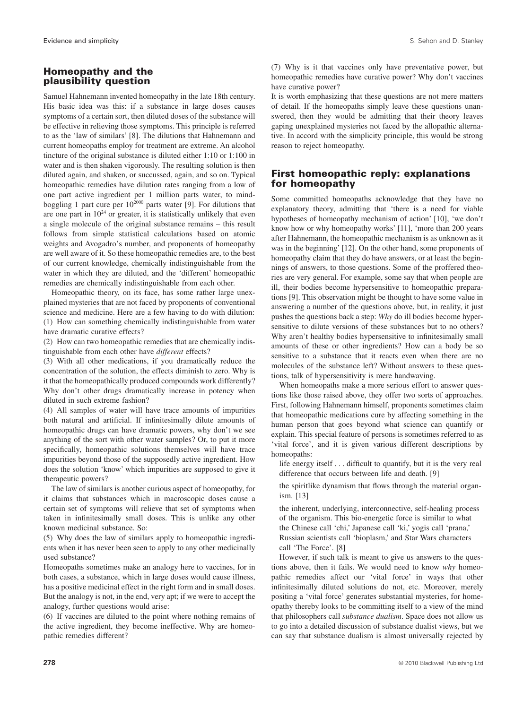# **Homeopathy and the plausibility question**

Samuel Hahnemann invented homeopathy in the late 18th century. His basic idea was this: if a substance in large doses causes symptoms of a certain sort, then diluted doses of the substance will be effective in relieving those symptoms. This principle is referred to as the 'law of similars' [8]. The dilutions that Hahnemann and current homeopaths employ for treatment are extreme. An alcohol tincture of the original substance is diluted either 1:10 or 1:100 in water and is then shaken vigorously. The resulting solution is then diluted again, and shaken, or succussed, again, and so on. Typical homeopathic remedies have dilution rates ranging from a low of one part active ingredient per 1 million parts water, to mindboggling 1 part cure per  $10^{2000}$  parts water [9]. For dilutions that are one part in  $10^{24}$  or greater, it is statistically unlikely that even a single molecule of the original substance remains – this result follows from simple statistical calculations based on atomic weights and Avogadro's number, and proponents of homeopathy are well aware of it. So these homeopathic remedies are, to the best of our current knowledge, chemically indistinguishable from the water in which they are diluted, and the 'different' homeopathic remedies are chemically indistinguishable from each other.

Homeopathic theory, on its face, has some rather large unexplained mysteries that are not faced by proponents of conventional science and medicine. Here are a few having to do with dilution: (1) How can something chemically indistinguishable from water have dramatic curative effects?

(2) How can two homeopathic remedies that are chemically indistinguishable from each other have *different* effects?

(3) With all other medications, if you dramatically reduce the concentration of the solution, the effects diminish to zero. Why is it that the homeopathically produced compounds work differently? Why don't other drugs dramatically increase in potency when diluted in such extreme fashion?

(4) All samples of water will have trace amounts of impurities both natural and artificial. If infinitesimally dilute amounts of homeopathic drugs can have dramatic powers, why don't we see anything of the sort with other water samples? Or, to put it more specifically, homeopathic solutions themselves will have trace impurities beyond those of the supposedly active ingredient. How does the solution 'know' which impurities are supposed to give it therapeutic powers?

The law of similars is another curious aspect of homeopathy, for it claims that substances which in macroscopic doses cause a certain set of symptoms will relieve that set of symptoms when taken in infinitesimally small doses. This is unlike any other known medicinal substance. So:

(5) Why does the law of similars apply to homeopathic ingredients when it has never been seen to apply to any other medicinally used substance?

Homeopaths sometimes make an analogy here to vaccines, for in both cases, a substance, which in large doses would cause illness, has a positive medicinal effect in the right form and in small doses. But the analogy is not, in the end, very apt; if we were to accept the analogy, further questions would arise:

(6) If vaccines are diluted to the point where nothing remains of the active ingredient, they become ineffective. Why are homeopathic remedies different?

(7) Why is it that vaccines only have preventative power, but homeopathic remedies have curative power? Why don't vaccines have curative power?

It is worth emphasizing that these questions are not mere matters of detail. If the homeopaths simply leave these questions unanswered, then they would be admitting that their theory leaves gaping unexplained mysteries not faced by the allopathic alternative. In accord with the simplicity principle, this would be strong reason to reject homeopathy.

#### **First homeopathic reply: explanations for homeopathy**

Some committed homeopaths acknowledge that they have no explanatory theory, admitting that 'there is a need for viable hypotheses of homeopathy mechanism of action' [10], 'we don't know how or why homeopathy works' [11], 'more than 200 years after Hahnemann, the homeopathic mechanism is as unknown as it was in the beginning' [12]. On the other hand, some proponents of homeopathy claim that they do have answers, or at least the beginnings of answers, to those questions. Some of the proffered theories are very general. For example, some say that when people are ill, their bodies become hypersensitive to homeopathic preparations [9]. This observation might be thought to have some value in answering a number of the questions above, but, in reality, it just pushes the questions back a step: *Why* do ill bodies become hypersensitive to dilute versions of these substances but to no others? Why aren't healthy bodies hypersensitive to infinitesimally small amounts of these or other ingredients? How can a body be so sensitive to a substance that it reacts even when there are no molecules of the substance left? Without answers to these questions, talk of hypersensitivity is mere handwaving.

When homeopaths make a more serious effort to answer questions like those raised above, they offer two sorts of approaches. First, following Hahnemann himself, proponents sometimes claim that homeopathic medications cure by affecting something in the human person that goes beyond what science can quantify or explain. This special feature of persons is sometimes referred to as 'vital force', and it is given various different descriptions by homeopaths:

life energy itself . . . difficult to quantify, but it is the very real difference that occurs between life and death. [9]

the spiritlike dynamism that flows through the material organism. [13]

the inherent, underlying, interconnective, self-healing process of the organism. This bio-energetic force is similar to what the Chinese call 'chi,' Japanese call 'ki,' yogis call 'prana,' Russian scientists call 'bioplasm,' and Star Wars characters call 'The Force'. [8]

However, if such talk is meant to give us answers to the questions above, then it fails. We would need to know *why* homeopathic remedies affect our 'vital force' in ways that other infinitesimally diluted solutions do not, etc. Moreover, merely positing a 'vital force' generates substantial mysteries, for homeopathy thereby looks to be committing itself to a view of the mind that philosophers call *substance dualism*. Space does not allow us to go into a detailed discussion of substance dualist views, but we can say that substance dualism is almost universally rejected by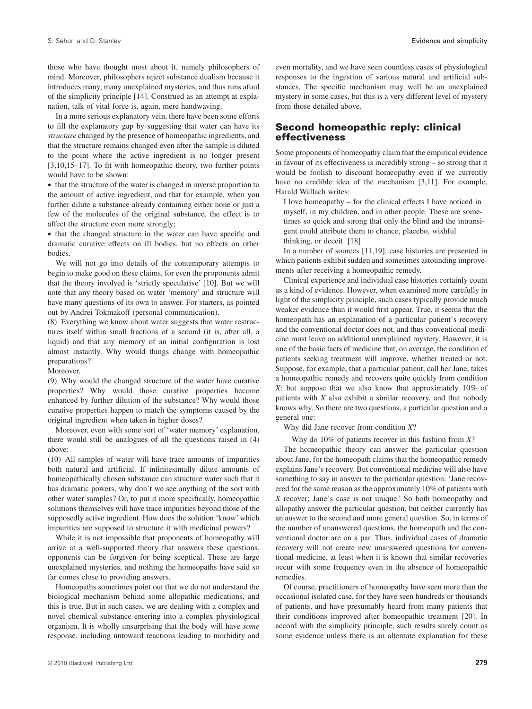those who have thought most about it, namely philosophers of mind. Moreover, philosophers reject substance dualism because it introduces many, many unexplained mysteries, and thus runs afoul of the simplicity principle [14]. Construed as an attempt at explanation, talk of vital force is, again, mere handwaving.

In a more serious explanatory vein, there have been some efforts to fill the explanatory gap by suggesting that water can have its *structure* changed by the presence of homeopathic ingredients, and that the structure remains changed even after the sample is diluted to the point where the active ingredient is no longer present [3,10,15–17]. To fit with homeopathic theory, two further points would have to be shown:

• that the structure of the water is changed in inverse proportion to the amount of active ingredient, and that for example, when you further dilute a substance already containing either none or just a few of the molecules of the original substance, the effect is to affect the structure even more strongly;

• that the changed structure in the water can have specific and dramatic curative effects on ill bodies, but no effects on other bodies.

We will not go into details of the contemporary attempts to begin to make good on these claims, for even the proponents admit that the theory involved is 'strictly speculative' [10]. But we will note that any theory based on water 'memory' and structure will have many questions of its own to answer. For starters, as pointed out by Andrei Tokmakoff (personal communication).

(8) Everything we know about water suggests that water restructures itself within small fractions of a second (it is, after all, a liquid) and that any memory of an initial configuration is lost almost instantly. Why would things change with homeopathic preparations?

Moreover,

(9) Why would the changed structure of the water have curative properties? Why would those curative properties become enhanced by further dilution of the substance? Why would those curative properties happen to match the symptoms caused by the original ingredient when taken in higher doses?

Moreover, even with some sort of 'water memory' explanation, there would still be analogues of all the questions raised in (4) above:

(10) All samples of water will have trace amounts of impurities both natural and artificial. If infinitesimally dilute amounts of homeopathically chosen substance can structure water such that it has dramatic powers, why don't we see anything of the sort with other water samples? Or, to put it more specifically, homeopathic solutions themselves will have trace impurities beyond those of the supposedly active ingredient. How does the solution 'know' which impurities are supposed to structure it with medicinal powers?

While it is not impossible that proponents of homeopathy will arrive at a well-supported theory that answers these questions, opponents can be forgiven for being sceptical. These are large unexplained mysteries, and nothing the homeopaths have said so far comes close to providing answers.

Homeopaths sometimes point out that we do not understand the biological mechanism behind some allopathic medications, and this is true. But in such cases, we are dealing with a complex and novel chemical substance entering into a complex physiological organism. It is wholly unsurprising that the body will have *some* response, including untoward reactions leading to morbidity and

### **Second homeopathic reply: clinical effectiveness**

Some proponents of homeopathy claim that the empirical evidence in favour of its effectiveness is incredibly strong – so strong that it would be foolish to discount homeopathy even if we currently have no credible idea of the mechanism [3,11]. For example, Harald Wallach writes:

I love homeopathy – for the clinical effects I have noticed in myself, in my children, and in other people. These are sometimes so quick and strong that only the blind and the intransigent could attribute them to chance, placebo, wishful thinking, or deceit. [18]

In a number of sources [11,19], case histories are presented in which patients exhibit sudden and sometimes astounding improvements after receiving a homeopathic remedy.

Clinical experience and individual case histories certainly count as a kind of evidence. However, when examined more carefully in light of the simplicity principle, such cases typically provide much weaker evidence than it would first appear. True, it seems that the homeopath has an explanation of a particular patient's recovery and the conventional doctor does not, and thus conventional medicine must leave an additional unexplained mystery. However, it is one of the basic facts of medicine that, on average, the condition of patients seeking treatment will improve, whether treated or not. Suppose, for example, that a particular patient, call her Jane, takes a homeopathic remedy and recovers quite quickly from condition *X*; but suppose that we also know that approximately 10% of patients with *X* also exhibit a similar recovery, and that nobody knows why. So there are two questions, a particular question and a general one:

Why did Jane recover from condition *X*?

Why do 10% of patients recover in this fashion from *X*? The homeopathic theory can answer the particular question about Jane, for the homeopath claims that the homeopathic remedy explains Jane's recovery. But conventional medicine will also have something to say in answer to the particular question: 'Jane recovered for the same reason as the approximately 10% of patients with *X* recover; Jane's case is not unique.' So both homeopathy and allopathy answer the particular question, but neither currently has an answer to the second and more general question. So, in terms of the number of unanswered questions, the homeopath and the conventional doctor are on a par. Thus, individual cases of dramatic recovery will not create new unanswered questions for conventional medicine, at least when it is known that similar recoveries

occur with some frequency even in the absence of homeopathic remedies. Of course, practitioners of homeopathy have seen more than the occasional isolated case, for they have seen hundreds or thousands of patients, and have presumably heard from many patients that their conditions improved after homeopathic treatment [20]. In accord with the simplicity principle, such results surely count as

some evidence unless there is an alternate explanation for these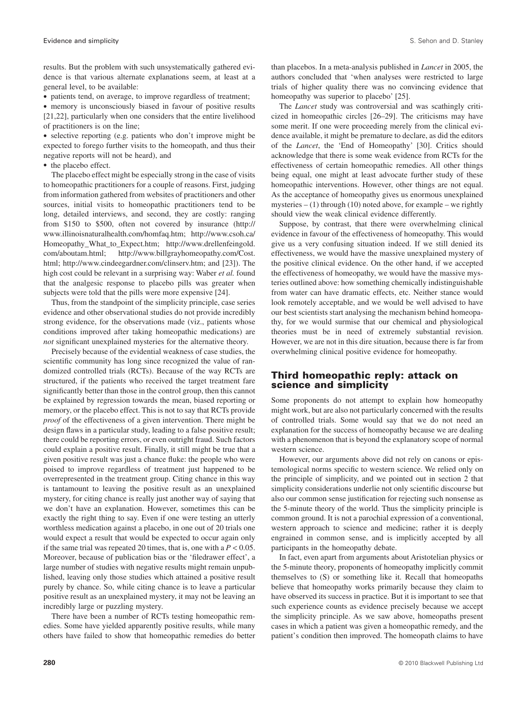results. But the problem with such unsystematically gathered evidence is that various alternate explanations seem, at least at a general level, to be available:

• patients tend, on average, to improve regardless of treatment;

• memory is unconsciously biased in favour of positive results [21,22], particularly when one considers that the entire livelihood of practitioners is on the line;

• selective reporting (e.g. patients who don't improve might be expected to forego further visits to the homeopath, and thus their negative reports will not be heard), and

• the placebo effect.

The placebo effect might be especially strong in the case of visits to homeopathic practitioners for a couple of reasons. First, judging from information gathered from websites of practitioners and other sources, initial visits to homeopathic practitioners tend to be long, detailed interviews, and second, they are costly: ranging from \$150 to \$500, often not covered by insurance (http:// www.illinoisnaturalhealth.com/homfaq.htm; http://www.csoh.ca/ Homeopathy\_What\_to\_Expect.htm; http://www.drellenfeingold. com/aboutam.html; http://www.billgrayhomeopathy.com/Cost. html; http://www.cindeegardner.com/clinserv.htm; and [23]). The high cost could be relevant in a surprising way: Waber *et al.* found that the analgesic response to placebo pills was greater when subjects were told that the pills were more expensive [24].

Thus, from the standpoint of the simplicity principle, case series evidence and other observational studies do not provide incredibly strong evidence, for the observations made (viz., patients whose conditions improved after taking homeopathic medications) are *not* significant unexplained mysteries for the alternative theory.

Precisely because of the evidential weakness of case studies, the scientific community has long since recognized the value of randomized controlled trials (RCTs). Because of the way RCTs are structured, if the patients who received the target treatment fare significantly better than those in the control group, then this cannot be explained by regression towards the mean, biased reporting or memory, or the placebo effect. This is not to say that RCTs provide *proof* of the effectiveness of a given intervention. There might be design flaws in a particular study, leading to a false positive result; there could be reporting errors, or even outright fraud. Such factors could explain a positive result. Finally, it still might be true that a given positive result was just a chance fluke: the people who were poised to improve regardless of treatment just happened to be overrepresented in the treatment group. Citing chance in this way is tantamount to leaving the positive result as an unexplained mystery, for citing chance is really just another way of saying that we don't have an explanation. However, sometimes this can be exactly the right thing to say. Even if one were testing an utterly worthless medication against a placebo, in one out of 20 trials one would expect a result that would be expected to occur again only if the same trial was repeated 20 times, that is, one with a *P* < 0.05. Moreover, because of publication bias or the 'filedrawer effect', a large number of studies with negative results might remain unpublished, leaving only those studies which attained a positive result purely by chance. So, while citing chance is to leave a particular positive result as an unexplained mystery, it may not be leaving an incredibly large or puzzling mystery.

There have been a number of RCTs testing homeopathic remedies. Some have yielded apparently positive results, while many others have failed to show that homeopathic remedies do better

than placebos. In a meta-analysis published in *Lancet* in 2005, the authors concluded that 'when analyses were restricted to large trials of higher quality there was no convincing evidence that homeopathy was superior to placebo' [25].

The *Lancet* study was controversial and was scathingly criticized in homeopathic circles [26–29]. The criticisms may have some merit. If one were proceeding merely from the clinical evidence available, it might be premature to declare, as did the editors of the *Lancet*, the 'End of Homeopathy' [30]. Critics should acknowledge that there is some weak evidence from RCTs for the effectiveness of certain homeopathic remedies. All other things being equal, one might at least advocate further study of these homeopathic interventions. However, other things are not equal. As the acceptance of homeopathy gives us enormous unexplained mysteries  $- (1)$  through (10) noted above, for example – we rightly should view the weak clinical evidence differently.

Suppose, by contrast, that there were overwhelming clinical evidence in favour of the effectiveness of homeopathy. This would give us a very confusing situation indeed. If we still denied its effectiveness, we would have the massive unexplained mystery of the positive clinical evidence. On the other hand, if we accepted the effectiveness of homeopathy, we would have the massive mysteries outlined above: how something chemically indistinguishable from water can have dramatic effects, etc. Neither stance would look remotely acceptable, and we would be well advised to have our best scientists start analysing the mechanism behind homeopathy, for we would surmise that our chemical and physiological theories must be in need of extremely substantial revision. However, we are not in this dire situation, because there is far from overwhelming clinical positive evidence for homeopathy.

#### **Third homeopathic reply: attack on science and simplicity**

Some proponents do not attempt to explain how homeopathy might work, but are also not particularly concerned with the results of controlled trials. Some would say that we do not need an explanation for the success of homeopathy because we are dealing with a phenomenon that is beyond the explanatory scope of normal western science.

However, our arguments above did not rely on canons or epistemological norms specific to western science. We relied only on the principle of simplicity, and we pointed out in section 2 that simplicity considerations underlie not only scientific discourse but also our common sense justification for rejecting such nonsense as the 5-minute theory of the world. Thus the simplicity principle is common ground. It is not a parochial expression of a conventional, western approach to science and medicine; rather it is deeply engrained in common sense, and is implicitly accepted by all participants in the homeopathy debate.

In fact, even apart from arguments about Aristotelian physics or the 5-minute theory, proponents of homeopathy implicitly commit themselves to (S) or something like it. Recall that homeopaths believe that homeopathy works primarily because they claim to have observed its success in practice. But it is important to see that such experience counts as evidence precisely because we accept the simplicity principle. As we saw above, homeopaths present cases in which a patient was given a homeopathic remedy, and the patient's condition then improved. The homeopath claims to have